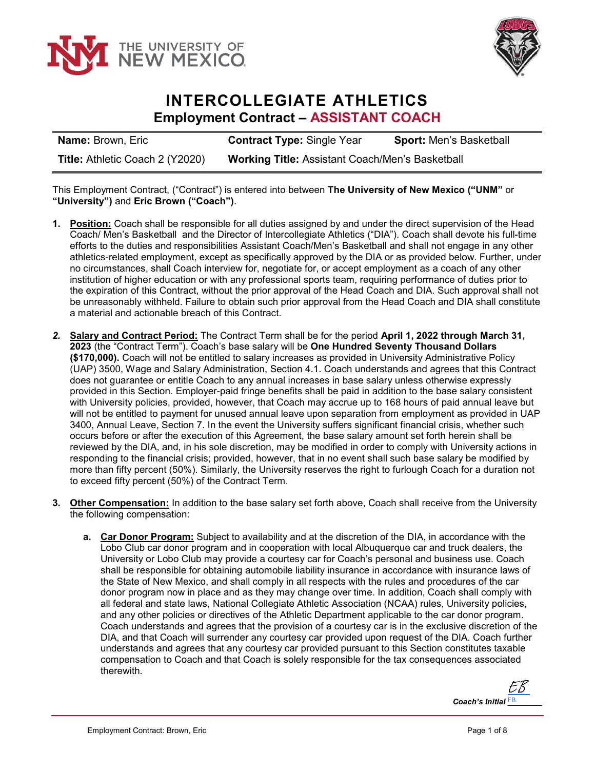



## **INTERCOLLEGIATE ATHLETICS Employment Contract – ASSISTANT COACH**

| <b>Name: Brown, Eric</b>               | <b>Contract Type: Single Year</b>                      | <b>Sport:</b> Men's Basketball |
|----------------------------------------|--------------------------------------------------------|--------------------------------|
| <b>Title: Athletic Coach 2 (Y2020)</b> | <b>Working Title: Assistant Coach/Men's Basketball</b> |                                |

This Employment Contract, ("Contract") is entered into between **The University of New Mexico ("UNM"** or **"University")** and **Eric Brown ("Coach")**.

- **1. Position:** Coach shall be responsible for all duties assigned by and under the direct supervision of the Head Coach/ Men's Basketball and the Director of Intercollegiate Athletics ("DIA"). Coach shall devote his full-time efforts to the duties and responsibilities Assistant Coach/Men's Basketball and shall not engage in any other athletics-related employment, except as specifically approved by the DIA or as provided below. Further, under no circumstances, shall Coach interview for, negotiate for, or accept employment as a coach of any other institution of higher education or with any professional sports team, requiring performance of duties prior to the expiration of this Contract, without the prior approval of the Head Coach and DIA. Such approval shall not be unreasonably withheld. Failure to obtain such prior approval from the Head Coach and DIA shall constitute a material and actionable breach of this Contract.
- *2.* **Salary and Contract Period:** The Contract Term shall be for the period **April 1, 2022 through March 31, 2023** (the "Contract Term"). Coach's base salary will be **One Hundred Seventy Thousand Dollars (\$170,000).** Coach will not be entitled to salary increases as provided in University Administrative Policy (UAP) 3500, Wage and Salary Administration, Section 4.1. Coach understands and agrees that this Contract does not guarantee or entitle Coach to any annual increases in base salary unless otherwise expressly provided in this Section. Employer-paid fringe benefits shall be paid in addition to the base salary consistent with University policies, provided, however, that Coach may accrue up to 168 hours of paid annual leave but will not be entitled to payment for unused annual leave upon separation from employment as provided in UAP 3400, Annual Leave, Section 7. In the event the University suffers significant financial crisis, whether such occurs before or after the execution of this Agreement, the base salary amount set forth herein shall be reviewed by the DIA, and, in his sole discretion, may be modified in order to comply with University actions in responding to the financial crisis; provided, however, that in no event shall such base salary be modified by more than fifty percent (50%). Similarly, the University reserves the right to furlough Coach for a duration not to exceed fifty percent (50%) of the Contract Term.
- **3. Other Compensation:** In addition to the base salary set forth above, Coach shall receive from the University the following compensation:
	- **a. Car Donor Program:** Subject to availability and at the discretion of the DIA, in accordance with the Lobo Club car donor program and in cooperation with local Albuquerque car and truck dealers, the University or Lobo Club may provide a courtesy car for Coach's personal and business use. Coach shall be responsible for obtaining automobile liability insurance in accordance with insurance laws of the State of New Mexico, and shall comply in all respects with the rules and procedures of the car donor program now in place and as they may change over time. In addition, Coach shall comply with all federal and state laws, National Collegiate Athletic Association (NCAA) rules, University policies, and any other policies or directives of the Athletic Department applicable to the car donor program. Coach understands and agrees that the provision of a courtesy car is in the exclusive discretion of the DIA, and that Coach will surrender any courtesy car provided upon request of the DIA. Coach further understands and agrees that any courtesy car provided pursuant to this Section constitutes taxable compensation to Coach and that Coach is solely responsible for the tax consequences associated therewith.

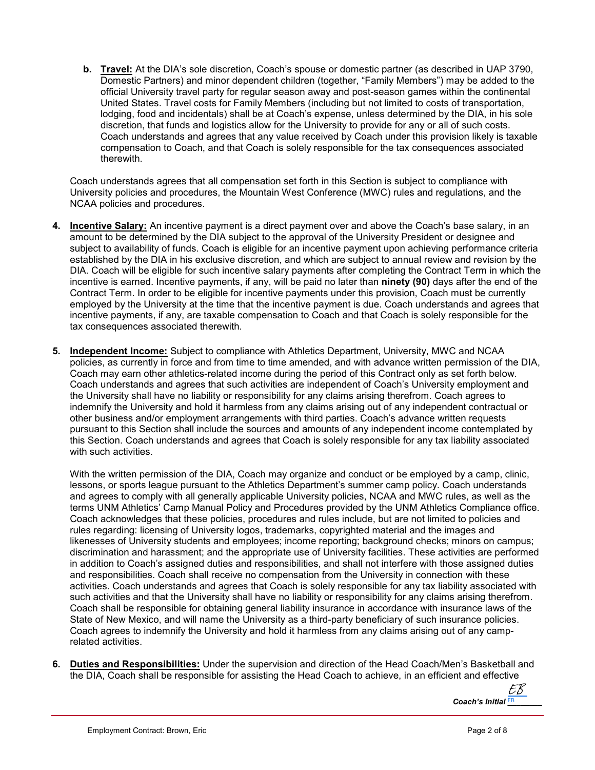**b. Travel:** At the DIA's sole discretion, Coach's spouse or domestic partner (as described in UAP 3790, Domestic Partners) and minor dependent children (together, "Family Members") may be added to the official University travel party for regular season away and post-season games within the continental United States. Travel costs for Family Members (including but not limited to costs of transportation, lodging, food and incidentals) shall be at Coach's expense, unless determined by the DIA, in his sole discretion, that funds and logistics allow for the University to provide for any or all of such costs. Coach understands and agrees that any value received by Coach under this provision likely is taxable compensation to Coach, and that Coach is solely responsible for the tax consequences associated therewith.

Coach understands agrees that all compensation set forth in this Section is subject to compliance with University policies and procedures, the Mountain West Conference (MWC) rules and regulations, and the NCAA policies and procedures.

- **4. Incentive Salary:** An incentive payment is a direct payment over and above the Coach's base salary, in an amount to be determined by the DIA subject to the approval of the University President or designee and subject to availability of funds. Coach is eligible for an incentive payment upon achieving performance criteria established by the DIA in his exclusive discretion, and which are subject to annual review and revision by the DIA. Coach will be eligible for such incentive salary payments after completing the Contract Term in which the incentive is earned. Incentive payments, if any, will be paid no later than **ninety (90)** days after the end of the Contract Term. In order to be eligible for incentive payments under this provision, Coach must be currently employed by the University at the time that the incentive payment is due. Coach understands and agrees that incentive payments, if any, are taxable compensation to Coach and that Coach is solely responsible for the tax consequences associated therewith.
- **5. Independent Income:** Subject to compliance with Athletics Department, University, MWC and NCAA policies, as currently in force and from time to time amended, and with advance written permission of the DIA, Coach may earn other athletics-related income during the period of this Contract only as set forth below. Coach understands and agrees that such activities are independent of Coach's University employment and the University shall have no liability or responsibility for any claims arising therefrom. Coach agrees to indemnify the University and hold it harmless from any claims arising out of any independent contractual or other business and/or employment arrangements with third parties. Coach's advance written requests pursuant to this Section shall include the sources and amounts of any independent income contemplated by this Section. Coach understands and agrees that Coach is solely responsible for any tax liability associated with such activities.

With the written permission of the DIA, Coach may organize and conduct or be employed by a camp, clinic, lessons, or sports league pursuant to the Athletics Department's summer camp policy. Coach understands and agrees to comply with all generally applicable University policies, NCAA and MWC rules, as well as the terms UNM Athletics' Camp Manual Policy and Procedures provided by the UNM Athletics Compliance office. Coach acknowledges that these policies, procedures and rules include, but are not limited to policies and rules regarding: licensing of University logos, trademarks, copyrighted material and the images and likenesses of University students and employees; income reporting; background checks; minors on campus; discrimination and harassment; and the appropriate use of University facilities. These activities are performed in addition to Coach's assigned duties and responsibilities, and shall not interfere with those assigned duties and responsibilities. Coach shall receive no compensation from the University in connection with these activities. Coach understands and agrees that Coach is solely responsible for any tax liability associated with such activities and that the University shall have no liability or responsibility for any claims arising therefrom. Coach shall be responsible for obtaining general liability insurance in accordance with insurance laws of the State of New Mexico, and will name the University as a third-party beneficiary of such insurance policies. Coach agrees to indemnify the University and hold it harmless from any claims arising out of any camprelated activities.

**6. Duties and Responsibilities:** Under the supervision and direction of the Head Coach/Men's Basketball and the DIA, Coach shall be responsible for assisting the Head Coach to achieve, in an efficient and effective

*Coach's Initial*  $\frac{EB}{2}$ EB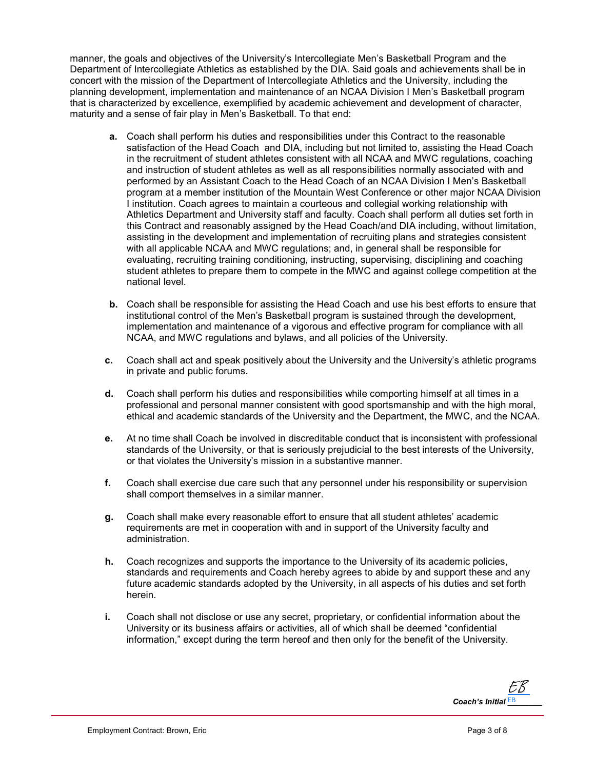manner, the goals and objectives of the University's Intercollegiate Men's Basketball Program and the Department of Intercollegiate Athletics as established by the DIA. Said goals and achievements shall be in concert with the mission of the Department of Intercollegiate Athletics and the University, including the planning development, implementation and maintenance of an NCAA Division I Men's Basketball program that is characterized by excellence, exemplified by academic achievement and development of character, maturity and a sense of fair play in Men's Basketball. To that end:

- **a.** Coach shall perform his duties and responsibilities under this Contract to the reasonable satisfaction of the Head Coach and DIA, including but not limited to, assisting the Head Coach in the recruitment of student athletes consistent with all NCAA and MWC regulations, coaching and instruction of student athletes as well as all responsibilities normally associated with and performed by an Assistant Coach to the Head Coach of an NCAA Division I Men's Basketball program at a member institution of the Mountain West Conference or other major NCAA Division I institution. Coach agrees to maintain a courteous and collegial working relationship with Athletics Department and University staff and faculty. Coach shall perform all duties set forth in this Contract and reasonably assigned by the Head Coach/and DIA including, without limitation, assisting in the development and implementation of recruiting plans and strategies consistent with all applicable NCAA and MWC regulations; and, in general shall be responsible for evaluating, recruiting training conditioning, instructing, supervising, disciplining and coaching student athletes to prepare them to compete in the MWC and against college competition at the national level.
- **b.** Coach shall be responsible for assisting the Head Coach and use his best efforts to ensure that institutional control of the Men's Basketball program is sustained through the development, implementation and maintenance of a vigorous and effective program for compliance with all NCAA, and MWC regulations and bylaws, and all policies of the University.
- **c.** Coach shall act and speak positively about the University and the University's athletic programs in private and public forums.
- **d.** Coach shall perform his duties and responsibilities while comporting himself at all times in a professional and personal manner consistent with good sportsmanship and with the high moral, ethical and academic standards of the University and the Department, the MWC, and the NCAA.
- **e.** At no time shall Coach be involved in discreditable conduct that is inconsistent with professional standards of the University, or that is seriously prejudicial to the best interests of the University, or that violates the University's mission in a substantive manner.
- **f.** Coach shall exercise due care such that any personnel under his responsibility or supervision shall comport themselves in a similar manner.
- **g.** Coach shall make every reasonable effort to ensure that all student athletes' academic requirements are met in cooperation with and in support of the University faculty and administration.
- **h.** Coach recognizes and supports the importance to the University of its academic policies, standards and requirements and Coach hereby agrees to abide by and support these and any future academic standards adopted by the University, in all aspects of his duties and set forth herein.
- **i.** Coach shall not disclose or use any secret, proprietary, or confidential information about the University or its business affairs or activities, all of which shall be deemed "confidential information," except during the term hereof and then only for the benefit of the University.

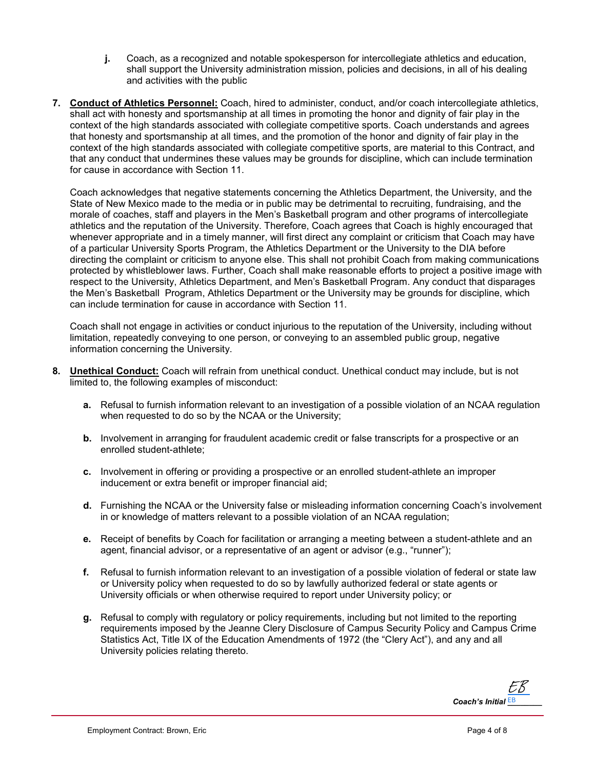- **j.** Coach, as a recognized and notable spokesperson for intercollegiate athletics and education, shall support the University administration mission, policies and decisions, in all of his dealing and activities with the public
- **7. Conduct of Athletics Personnel:** Coach, hired to administer, conduct, and/or coach intercollegiate athletics, shall act with honesty and sportsmanship at all times in promoting the honor and dignity of fair play in the context of the high standards associated with collegiate competitive sports. Coach understands and agrees that honesty and sportsmanship at all times, and the promotion of the honor and dignity of fair play in the context of the high standards associated with collegiate competitive sports, are material to this Contract, and that any conduct that undermines these values may be grounds for discipline, which can include termination for cause in accordance with Section 11.

Coach acknowledges that negative statements concerning the Athletics Department, the University, and the State of New Mexico made to the media or in public may be detrimental to recruiting, fundraising, and the morale of coaches, staff and players in the Men's Basketball program and other programs of intercollegiate athletics and the reputation of the University. Therefore, Coach agrees that Coach is highly encouraged that whenever appropriate and in a timely manner, will first direct any complaint or criticism that Coach may have of a particular University Sports Program, the Athletics Department or the University to the DIA before directing the complaint or criticism to anyone else. This shall not prohibit Coach from making communications protected by whistleblower laws. Further, Coach shall make reasonable efforts to project a positive image with respect to the University, Athletics Department, and Men's Basketball Program. Any conduct that disparages the Men's Basketball Program, Athletics Department or the University may be grounds for discipline, which can include termination for cause in accordance with Section 11.

Coach shall not engage in activities or conduct injurious to the reputation of the University, including without limitation, repeatedly conveying to one person, or conveying to an assembled public group, negative information concerning the University.

- **8. Unethical Conduct:** Coach will refrain from unethical conduct. Unethical conduct may include, but is not limited to, the following examples of misconduct:
	- **a.** Refusal to furnish information relevant to an investigation of a possible violation of an NCAA regulation when requested to do so by the NCAA or the University;
	- **b.** Involvement in arranging for fraudulent academic credit or false transcripts for a prospective or an enrolled student-athlete;
	- **c.** Involvement in offering or providing a prospective or an enrolled student-athlete an improper inducement or extra benefit or improper financial aid;
	- **d.** Furnishing the NCAA or the University false or misleading information concerning Coach's involvement in or knowledge of matters relevant to a possible violation of an NCAA regulation;
	- **e.** Receipt of benefits by Coach for facilitation or arranging a meeting between a student-athlete and an agent, financial advisor, or a representative of an agent or advisor (e.g., "runner");
	- **f.** Refusal to furnish information relevant to an investigation of a possible violation of federal or state law or University policy when requested to do so by lawfully authorized federal or state agents or University officials or when otherwise required to report under University policy; or
	- **g.** Refusal to comply with regulatory or policy requirements, including but not limited to the reporting requirements imposed by the Jeanne Clery Disclosure of Campus Security Policy and Campus Crime Statistics Act, Title IX of the Education Amendments of 1972 (the "Clery Act"), and any and all University policies relating thereto.

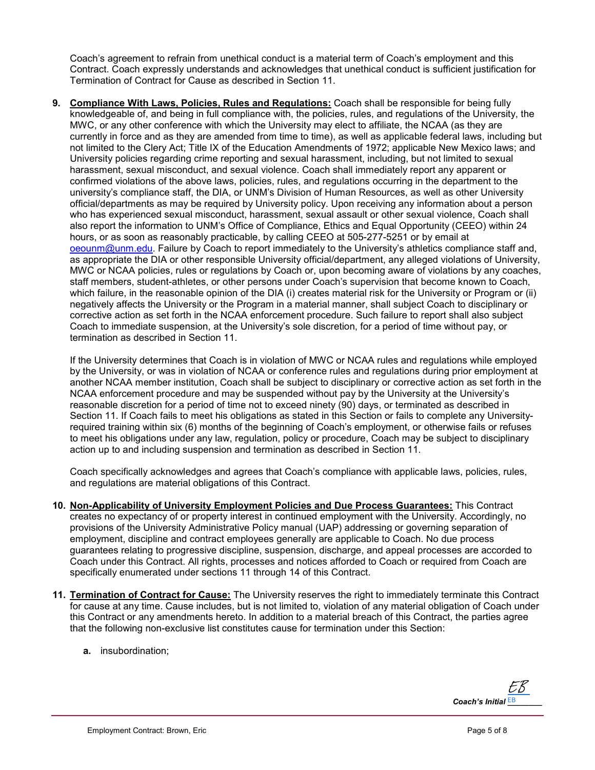Coach's agreement to refrain from unethical conduct is a material term of Coach's employment and this Contract. Coach expressly understands and acknowledges that unethical conduct is sufficient justification for Termination of Contract for Cause as described in Section 11.

**9. Compliance With Laws, Policies, Rules and Regulations:** Coach shall be responsible for being fully knowledgeable of, and being in full compliance with, the policies, rules, and regulations of the University, the MWC, or any other conference with which the University may elect to affiliate, the NCAA (as they are currently in force and as they are amended from time to time), as well as applicable federal laws, including but not limited to the Clery Act; Title IX of the Education Amendments of 1972; applicable New Mexico laws; and University policies regarding crime reporting and sexual harassment, including, but not limited to sexual harassment, sexual misconduct, and sexual violence. Coach shall immediately report any apparent or confirmed violations of the above laws, policies, rules, and regulations occurring in the department to the university's compliance staff, the DIA, or UNM's Division of Human Resources, as well as other University official/departments as may be required by University policy. Upon receiving any information about a person who has experienced sexual misconduct, harassment, sexual assault or other sexual violence, Coach shall also report the information to UNM's Office of Compliance, Ethics and Equal Opportunity (CEEO) within 24 hours, or as soon as reasonably practicable, by calling CEEO at 505-277-5251 or by email at [oeounm@unm.edu.](mailto:oeounm@unm.edu) Failure by Coach to report immediately to the University's athletics compliance staff and, as appropriate the DIA or other responsible University official/department, any alleged violations of University, MWC or NCAA policies, rules or regulations by Coach or, upon becoming aware of violations by any coaches, staff members, student-athletes, or other persons under Coach's supervision that become known to Coach, which failure, in the reasonable opinion of the DIA (i) creates material risk for the University or Program or (ii) negatively affects the University or the Program in a material manner, shall subject Coach to disciplinary or corrective action as set forth in the NCAA enforcement procedure. Such failure to report shall also subject Coach to immediate suspension, at the University's sole discretion, for a period of time without pay, or termination as described in Section 11.

If the University determines that Coach is in violation of MWC or NCAA rules and regulations while employed by the University, or was in violation of NCAA or conference rules and regulations during prior employment at another NCAA member institution, Coach shall be subject to disciplinary or corrective action as set forth in the NCAA enforcement procedure and may be suspended without pay by the University at the University's reasonable discretion for a period of time not to exceed ninety (90) days, or terminated as described in Section 11. If Coach fails to meet his obligations as stated in this Section or fails to complete any Universityrequired training within six (6) months of the beginning of Coach's employment, or otherwise fails or refuses to meet his obligations under any law, regulation, policy or procedure, Coach may be subject to disciplinary action up to and including suspension and termination as described in Section 11.

Coach specifically acknowledges and agrees that Coach's compliance with applicable laws, policies, rules, and regulations are material obligations of this Contract.

- **10. Non-Applicability of University Employment Policies and Due Process Guarantees:** This Contract creates no expectancy of or property interest in continued employment with the University. Accordingly, no provisions of the University Administrative Policy manual (UAP) addressing or governing separation of employment, discipline and contract employees generally are applicable to Coach. No due process guarantees relating to progressive discipline, suspension, discharge, and appeal processes are accorded to Coach under this Contract. All rights, processes and notices afforded to Coach or required from Coach are specifically enumerated under sections 11 through 14 of this Contract.
- **11. Termination of Contract for Cause:** The University reserves the right to immediately terminate this Contract for cause at any time. Cause includes, but is not limited to, violation of any material obligation of Coach under this Contract or any amendments hereto. In addition to a material breach of this Contract, the parties agree that the following non-exclusive list constitutes cause for termination under this Section:
	- **a.** insubordination;

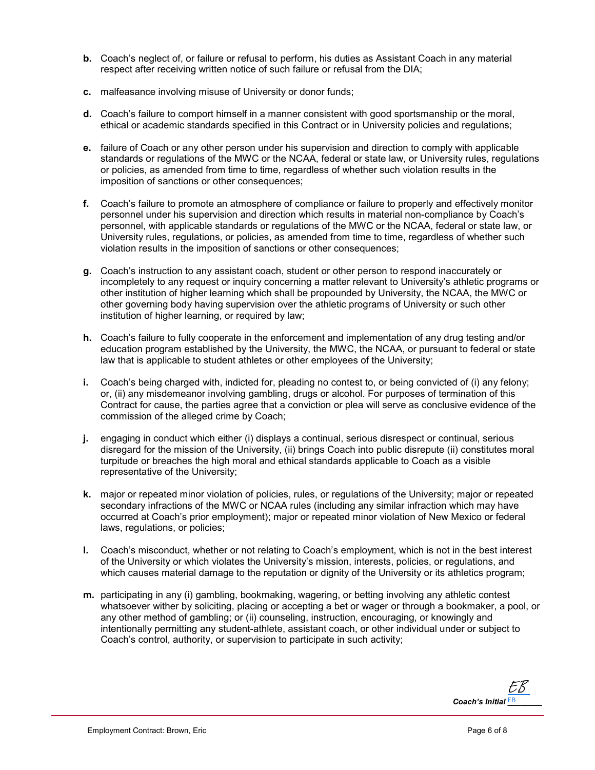- **b.** Coach's neglect of, or failure or refusal to perform, his duties as Assistant Coach in any material respect after receiving written notice of such failure or refusal from the DIA;
- **c.** malfeasance involving misuse of University or donor funds;
- **d.** Coach's failure to comport himself in a manner consistent with good sportsmanship or the moral, ethical or academic standards specified in this Contract or in University policies and regulations;
- **e.** failure of Coach or any other person under his supervision and direction to comply with applicable standards or regulations of the MWC or the NCAA, federal or state law, or University rules, regulations or policies, as amended from time to time, regardless of whether such violation results in the imposition of sanctions or other consequences;
- **f.** Coach's failure to promote an atmosphere of compliance or failure to properly and effectively monitor personnel under his supervision and direction which results in material non-compliance by Coach's personnel, with applicable standards or regulations of the MWC or the NCAA, federal or state law, or University rules, regulations, or policies, as amended from time to time, regardless of whether such violation results in the imposition of sanctions or other consequences;
- **g.** Coach's instruction to any assistant coach, student or other person to respond inaccurately or incompletely to any request or inquiry concerning a matter relevant to University's athletic programs or other institution of higher learning which shall be propounded by University, the NCAA, the MWC or other governing body having supervision over the athletic programs of University or such other institution of higher learning, or required by law;
- **h.** Coach's failure to fully cooperate in the enforcement and implementation of any drug testing and/or education program established by the University, the MWC, the NCAA, or pursuant to federal or state law that is applicable to student athletes or other employees of the University;
- **i.** Coach's being charged with, indicted for, pleading no contest to, or being convicted of (i) any felony; or, (ii) any misdemeanor involving gambling, drugs or alcohol. For purposes of termination of this Contract for cause, the parties agree that a conviction or plea will serve as conclusive evidence of the commission of the alleged crime by Coach;
- **j.** engaging in conduct which either (i) displays a continual, serious disrespect or continual, serious disregard for the mission of the University, (ii) brings Coach into public disrepute (ii) constitutes moral turpitude or breaches the high moral and ethical standards applicable to Coach as a visible representative of the University;
- **k.** major or repeated minor violation of policies, rules, or regulations of the University; major or repeated secondary infractions of the MWC or NCAA rules (including any similar infraction which may have occurred at Coach's prior employment); major or repeated minor violation of New Mexico or federal laws, regulations, or policies;
- **l.** Coach's misconduct, whether or not relating to Coach's employment, which is not in the best interest of the University or which violates the University's mission, interests, policies, or regulations, and which causes material damage to the reputation or dignity of the University or its athletics program;
- **m.** participating in any (i) gambling, bookmaking, wagering, or betting involving any athletic contest whatsoever wither by soliciting, placing or accepting a bet or wager or through a bookmaker, a pool, or any other method of gambling; or (ii) counseling, instruction, encouraging, or knowingly and intentionally permitting any student-athlete, assistant coach, or other individual under or subject to Coach's control, authority, or supervision to participate in such activity;

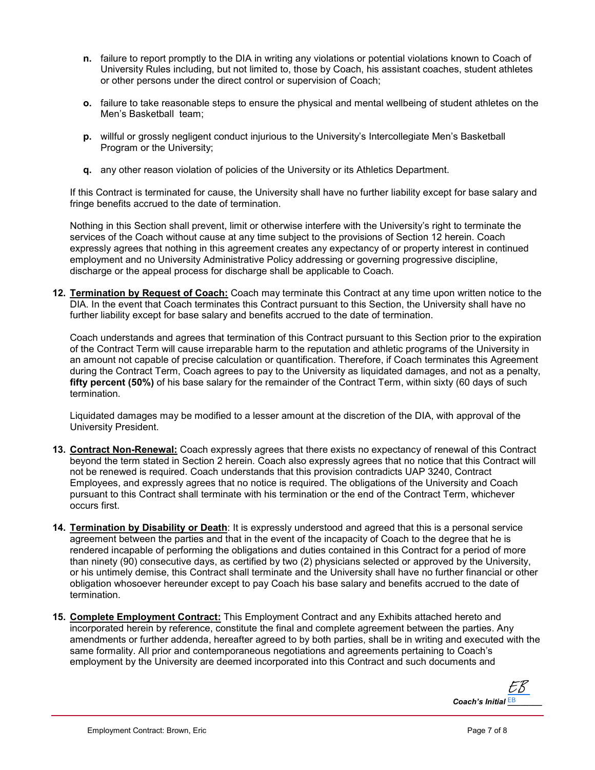- **n.** failure to report promptly to the DIA in writing any violations or potential violations known to Coach of University Rules including, but not limited to, those by Coach, his assistant coaches, student athletes or other persons under the direct control or supervision of Coach;
- **o.** failure to take reasonable steps to ensure the physical and mental wellbeing of student athletes on the Men's Basketball team;
- **p.** willful or grossly negligent conduct injurious to the University's Intercollegiate Men's Basketball Program or the University;
- **q.** any other reason violation of policies of the University or its Athletics Department.

If this Contract is terminated for cause, the University shall have no further liability except for base salary and fringe benefits accrued to the date of termination.

Nothing in this Section shall prevent, limit or otherwise interfere with the University's right to terminate the services of the Coach without cause at any time subject to the provisions of Section 12 herein. Coach expressly agrees that nothing in this agreement creates any expectancy of or property interest in continued employment and no University Administrative Policy addressing or governing progressive discipline, discharge or the appeal process for discharge shall be applicable to Coach.

**12. Termination by Request of Coach:** Coach may terminate this Contract at any time upon written notice to the DIA. In the event that Coach terminates this Contract pursuant to this Section, the University shall have no further liability except for base salary and benefits accrued to the date of termination.

Coach understands and agrees that termination of this Contract pursuant to this Section prior to the expiration of the Contract Term will cause irreparable harm to the reputation and athletic programs of the University in an amount not capable of precise calculation or quantification. Therefore, if Coach terminates this Agreement during the Contract Term, Coach agrees to pay to the University as liquidated damages, and not as a penalty, **fifty percent (50%)** of his base salary for the remainder of the Contract Term, within sixty (60 days of such termination.

Liquidated damages may be modified to a lesser amount at the discretion of the DIA, with approval of the University President.

- **13. Contract Non-Renewal:** Coach expressly agrees that there exists no expectancy of renewal of this Contract beyond the term stated in Section 2 herein. Coach also expressly agrees that no notice that this Contract will not be renewed is required. Coach understands that this provision contradicts UAP 3240, Contract Employees, and expressly agrees that no notice is required. The obligations of the University and Coach pursuant to this Contract shall terminate with his termination or the end of the Contract Term, whichever occurs first.
- **14. Termination by Disability or Death**: It is expressly understood and agreed that this is a personal service agreement between the parties and that in the event of the incapacity of Coach to the degree that he is rendered incapable of performing the obligations and duties contained in this Contract for a period of more than ninety (90) consecutive days, as certified by two (2) physicians selected or approved by the University, or his untimely demise, this Contract shall terminate and the University shall have no further financial or other obligation whosoever hereunder except to pay Coach his base salary and benefits accrued to the date of termination.
- **15. Complete Employment Contract:** This Employment Contract and any Exhibits attached hereto and incorporated herein by reference, constitute the final and complete agreement between the parties. Any amendments or further addenda, hereafter agreed to by both parties, shall be in writing and executed with the same formality. All prior and contemporaneous negotiations and agreements pertaining to Coach's employment by the University are deemed incorporated into this Contract and such documents and